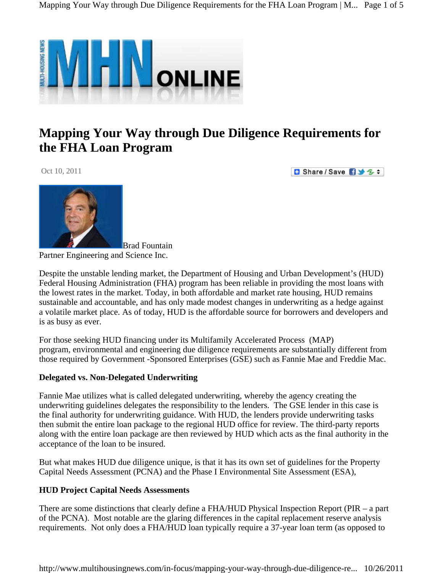

# **Mapping Your Way through Due Diligence Requirements for the [FHA](http://www.partneresi.com/hud.htm) Loan Program**

Oct 10, 2011

**D** Share / Save **B** → 3 ÷



**Brad Fountain** Partner Engineering and Science Inc.

Despite the unstable lending market, the Department of Housing and Urban Development's (HUD) Federal Housing Administration (FHA) program has been reliable in providing the most loans with the lowest rates in the market. Today, in both affordable and market rate housing, HUD remains sustainable and accountable, and has only made modest changes in underwriting as a hedge against a volatile market place. As of today, HUD is the affordable source for borrowers and developers and is as busy as ever.

For those seeking HUD financing under its Multifamily Accelerated Process (MAP) program, environmental and engineering due diligence requirements are substantially different from those required by Government -Sponsored Enterprises (GSE) such as [Fannie Mae and Freddie Mac.](http://www.partneresi.com/fannie_mae_freddie_mac.htm)

# **Delegated vs. Non-Delegated Underwriting**

Fannie Mae utilizes what is called delegated underwriting, whereby the agency creating the underwriting guidelines delegates the responsibility to the lenders. The GSE lender in this case is the final authority for underwriting guidance. With HUD, the lenders provide underwriting tasks then submit the entire loan package to the regional HUD office for review. The third-party reports along with the entire loan package are then reviewed by HUD which acts as the final authority in the acceptance of the loan to be insured.

But what makes HUD due diligence unique, is that it has its own set of guidelines for the Property Capital Needs Assessment [\(PCNA](http://www.partneresi.com/Glossary-HUD%20FHA%20Project%20Capital%20Needs%20Assessment.htm)) and the [Phase I Environmental Site Assessment \(ESA\),](http://www.partneresi.com/Phase_I_Environmental_Site_Assessment.htm)

# **HUD Project Capital Needs Assessments**

There are some distinctions that clearly define a FHA/HUD Physical Inspection Report (PIR – a part of the PCNA). Most notable are the glaring differences in the capital replacement reserve analysis requirements. Not only does a FHA/HUD loan typically require a 37-year loan term (as opposed to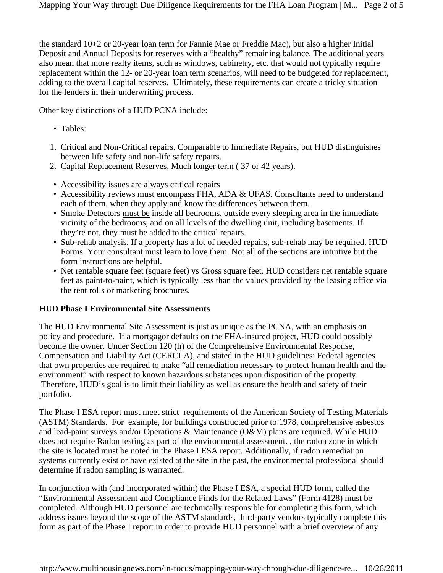the standard 10+2 or 20-year loan term for Fannie Mae or Freddie Mac), but also a higher Initial Deposit and Annual Deposits for reserves with a "healthy" remaining balance. The additional years also mean that more realty items, such as windows, cabinetry, etc. that would not typically require replacement within the 12- or 20-year loan term scenarios, will need to be budgeted for replacement, adding to the overall capital reserves. Ultimately, these requirements can create a tricky situation for the lenders in their underwriting process.

Other key distinctions of a HUD PCNA include:

- Tables:
- 1. Critical and Non-Critical repairs. Comparable to Immediate Repairs, but HUD distinguishes between life safety and non-life safety repairs.
- 2. Capital Replacement Reserves. Much longer term ( 37 or 42 years).
- Accessibility issues are always critical repairs
- Accessibility reviews must encompass FHA, ADA & UFAS. Consultants need to understand each of them, when they apply and know the differences between them.
- Smoke Detectors must be inside all bedrooms, outside every sleeping area in the immediate vicinity of the bedrooms, and on all levels of the dwelling unit, including basements. If they're not, they must be added to the critical repairs.
- Sub-rehab analysis. If a property has a lot of needed repairs, sub-rehab may be required. HUD Forms. Your consultant must learn to love them. Not all of the sections are intuitive but the form instructions are helpful.
- Net rentable square feet (square feet) vs Gross square feet. HUD considers net rentable square feet as paint-to-paint, which is typically less than the values provided by the leasing office via the rent rolls or marketing brochures.

# **HUD Phase I Environmental Site Assessments**

The HUD Environmental Site Assessment is just as unique as the PCNA, with an emphasis on policy and procedure. If a mortgagor defaults on the FHA-insured project, HUD could possibly become the owner. Under Section 120 (h) of the Comprehensive Environmental Response, Compensation and Liability Act [\(CERCLA\)](http://www.partneresi.com/Glossary-CERCLA.htm), and stated in the HUD guidelines: Federal agencies that own properties are required to make "all remediation necessary to protect human health and the environment" with respect to known hazardous substances upon disposition of the property. Therefore, HUD's goal is to limit their liability as well as ensure the health and safety of their portfolio.

The Phase I ESA report must meet strict requirements of the American Society of Testing Materials ([ASTM](http://www.partneresi.com/Glossary-ASTM%20AAI.htm)) Standards. For example, for buildings constructed prior to 1978, comprehensive asbestos and lead-paint surveys and/or Operations & Maintenance (O&M) plans are required. While HUD does not require Radon testing as part of the environmental assessment. , the radon zone in which the site is located must be noted in the Phase I ESA report. Additionally, if radon remediation systems currently exist or have existed at the site in the past, the environmental professional should determine if radon sampling is warranted.

In conjunction with (and incorporated within) the Phase I ESA, a special HUD form, called the "Environmental Assessment and Compliance Finds for the Related Laws" (Form 4128) must be completed. Although HUD personnel are technically responsible for completing this form, which address issues beyond the scope of the ASTM standards, third-party vendors typically complete this form as part of the Phase I report in order to provide HUD personnel with a brief overview of any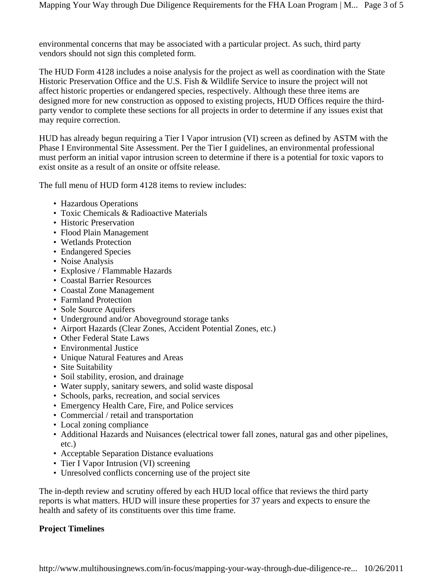environmental concerns that may be associated with a particular project. As such, third party vendors should not sign this completed form.

The HUD Form 4128 includes a noise analysis for the project as well as coordination with the State Historic Preservation Office and the U.S. Fish & Wildlife Service to insure the project will not affect historic properties or endangered species, respectively. Although these three items are designed more for new construction as opposed to existing projects, HUD Offices require the thirdparty vendor to complete these sections for all projects in order to determine if any issues exist that may require correction.

HUD has already begun requiring a Tier I Vapor intrusion (VI) screen as defined by ASTM with the Phase I Environmental Site Assessment. Per the Tier I guidelines, an environmental professional must perform an initial vapor intrusion screen to determine if there is a potential for toxic vapors to exist onsite as a result of an onsite or offsite release.

The full menu of HUD form 4128 items to review includes:

- Hazardous Operations
- Toxic Chemicals & Radioactive Materials
- Historic Preservation
- Flood Plain Management
- Wetlands Protection
- Endangered Species
- Noise Analysis
- Explosive / Flammable Hazards
- Coastal Barrier Resources
- Coastal Zone Management
- Farmland Protection
- Sole Source Aquifers
- Underground and/or Aboveground storage tanks
- Airport Hazards (Clear Zones, Accident Potential Zones, etc.)
- Other Federal State Laws
- Environmental Justice
- Unique Natural Features and Areas
- Site Suitability
- Soil stability, erosion, and drainage
- Water supply, sanitary sewers, and solid waste disposal
- Schools, parks, recreation, and social services
- Emergency Health Care, Fire, and Police services
- Commercial / retail and transportation
- Local zoning compliance
- Additional Hazards and Nuisances (electrical tower fall zones, natural gas and other pipelines, etc.)
- Acceptable Separation Distance evaluations
- Tier I Vapor Intrusion (VI) screening
- Unresolved conflicts concerning use of the project site

The in-depth review and scrutiny offered by each HUD local office that reviews the third party reports is what matters. HUD will insure these properties for 37 years and expects to ensure the health and safety of its constituents over this time frame.

# **Project Timelines**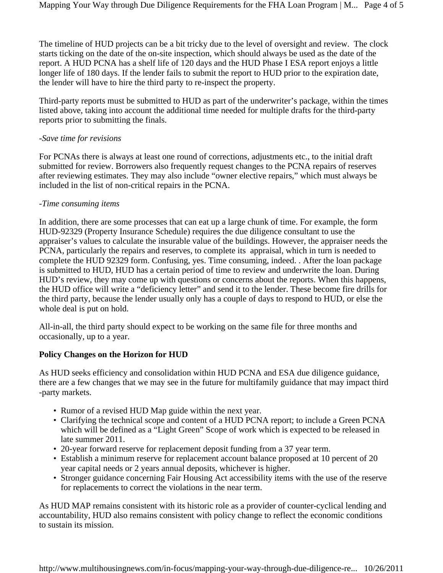The timeline of HUD projects can be a bit tricky due to the level of oversight and review. The clock starts ticking on the date of the on-site inspection, which should always be used as the date of the report. A HUD PCNA has a shelf life of 120 days and the HUD Phase I ESA report enjoys a little longer life of 180 days. If the lender fails to submit the report to HUD prior to the expiration date, the lender will have to hire the third party to re-inspect the property.

Third-party reports must be submitted to HUD as part of the underwriter's package, within the times listed above, taking into account the additional time needed for multiple drafts for the third-party reports prior to submitting the finals.

#### *-Save time for revisions*

For PCNAs there is always at least one round of corrections, adjustments etc., to the initial draft submitted for review. Borrowers also frequently request changes to the PCNA repairs of reserves after reviewing estimates. They may also include "owner elective repairs," which must always be included in the list of non-critical repairs in the PCNA.

#### -*Time consuming items*

In addition, there are some processes that can eat up a large chunk of time. For example, the form HUD-92329 (Property Insurance Schedule) requires the due diligence consultant to use the appraiser's values to calculate the insurable value of the buildings. However, the appraiser needs the PCNA, particularly the repairs and reserves, to complete its appraisal, which in turn is needed to complete the HUD 92329 form. Confusing, yes. Time consuming, indeed. . After the loan package is submitted to HUD, HUD has a certain period of time to review and underwrite the loan. During HUD's review, they may come up with questions or concerns about the reports. When this happens, the HUD office will write a "deficiency letter" and send it to the lender. These become fire drills for the third party, because the lender usually only has a couple of days to respond to HUD, or else the whole deal is put on hold.

All-in-all, the third party should expect to be working on the same file for three months and occasionally, up to a year.

# **Policy Changes on the Horizon for HUD**

As HUD seeks efficiency and consolidation within HUD PCNA and ESA due diligence guidance, there are a few changes that we may see in the future for multifamily guidance that may impact third -party markets.

- Rumor of a revised HUD Map guide within the next year.
- Clarifying the technical scope and content of a HUD PCNA report; to include a Green PCNA which will be defined as a "Light Green" Scope of work which is expected to be released in late summer 2011.
- 20-year forward reserve for replacement deposit funding from a 37 year term.
- Establish a minimum reserve for replacement account balance proposed at 10 percent of 20 year capital needs or 2 years annual deposits, whichever is higher.
- Stronger guidance concerning Fair Housing Act accessibility items with the use of the reserve for replacements to correct the violations in the near term.

As HUD MAP remains consistent with its historic role as a provider of counter-cyclical lending and accountability, HUD also remains consistent with policy change to reflect the economic conditions to sustain its mission.